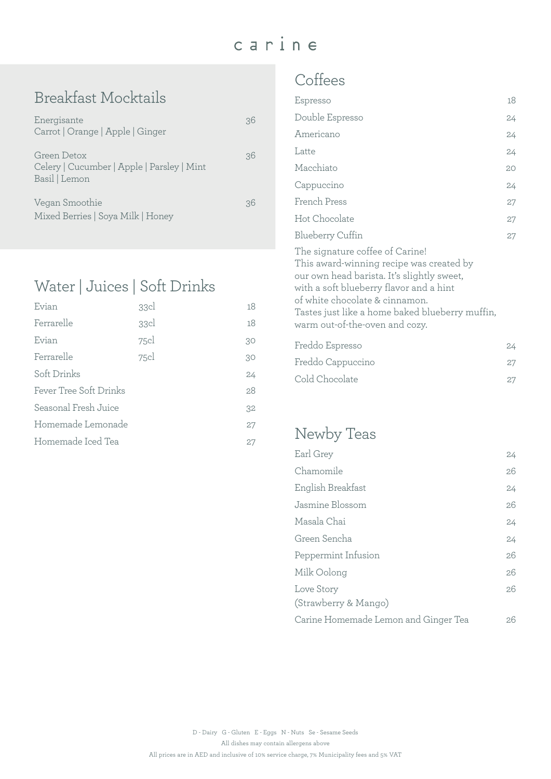## carine

### Breakfast Mocktails

| Energisante<br>Carrot   Orange   Apple   Ginger                            |    |
|----------------------------------------------------------------------------|----|
| Green Detox<br>Celery   Cucumber   Apple   Parsley   Mint<br>Basil   Lemon | 36 |
| Vegan Smoothie<br>Mixed Berries   Soya Milk   Honey                        | 36 |

### Water | Juices | Soft Drinks

| Evian                  | 33cl | 18 |
|------------------------|------|----|
| Ferrarelle             | 33cl | 18 |
| Evian                  | 75cl | 30 |
| Ferrarelle             | 75cl | 30 |
| Soft Drinks            |      | 24 |
| Fever Tree Soft Drinks |      | 28 |
| Seasonal Fresh Juice   |      | 32 |
| Homemade Lemonade      |      | 27 |
| Homemade Iced Tea      |      | 27 |

#### **Coffees**

| Espresso                                                                                                                                                                                                                                                                                    | 18     |
|---------------------------------------------------------------------------------------------------------------------------------------------------------------------------------------------------------------------------------------------------------------------------------------------|--------|
| Double Espresso                                                                                                                                                                                                                                                                             | 24     |
| Americano                                                                                                                                                                                                                                                                                   | 24     |
| Latte                                                                                                                                                                                                                                                                                       | 24     |
| Macchiato                                                                                                                                                                                                                                                                                   | 20     |
| Cappuccino                                                                                                                                                                                                                                                                                  | 24     |
| French Press                                                                                                                                                                                                                                                                                | $27\,$ |
| Hot Chocolate                                                                                                                                                                                                                                                                               | 27     |
| <b>Blueberry Cuffin</b>                                                                                                                                                                                                                                                                     | 27     |
| The signature coffee of Carine!<br>This award-winning recipe was created by<br>our own head barista. It's slightly sweet,<br>with a soft blueberry flavor and a hint<br>of white chocolate & cinnamon.<br>Tastes just like a home baked blueberry muffin,<br>warm out-of-the-oven and cozy. |        |
| Freddo Espresso                                                                                                                                                                                                                                                                             | 24     |
| Freddo Cappuccino                                                                                                                                                                                                                                                                           | 27     |
| Cold Chocolate                                                                                                                                                                                                                                                                              | 27     |

### Newby Teas

| Earl Grey                            | 24 |
|--------------------------------------|----|
| Chamomile                            | 26 |
| English Breakfast                    | 24 |
| Jasmine Blossom                      | 26 |
| Masala Chai                          | 24 |
| Green Sencha                         | 24 |
| Peppermint Infusion                  | 26 |
| Milk Oolong                          | 26 |
| Love Story                           | 26 |
| (Strawberry & Mango)                 |    |
| Carine Homemade Lemon and Ginger Tea | 26 |